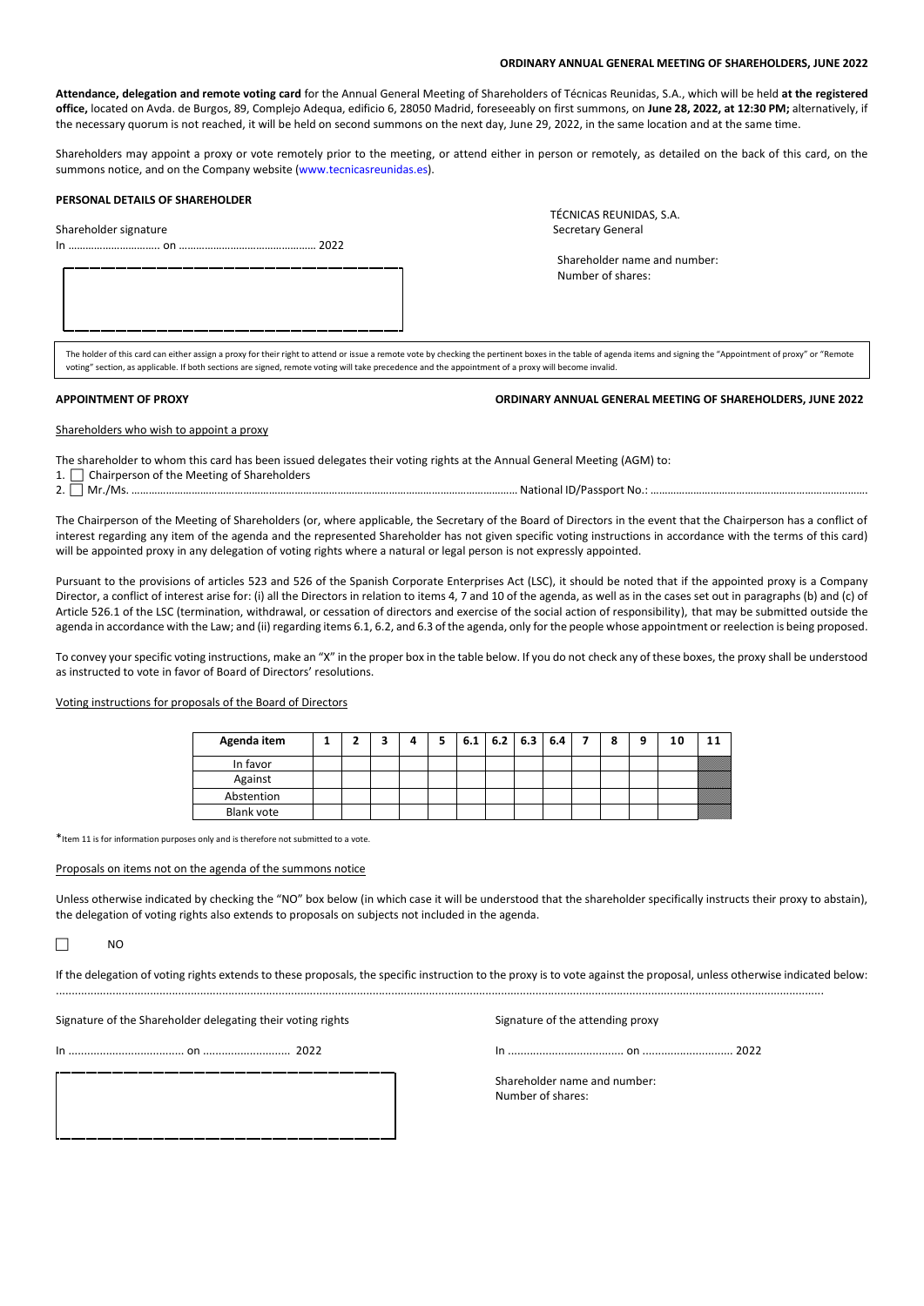# **ORDINARY ANNUAL GENERAL MEETING OF SHAREHOLDERS, JUNE 2022**

**Attendance, delegation and remote voting card** for the Annual General Meeting of Shareholders of Técnicas Reunidas, S.A., which will be held **at the registered office,** located on Avda. de Burgos, 89, Complejo Adequa, edificio 6, 28050 Madrid, foreseeably on first summons, on **June 28, 2022, at 12:30 PM;** alternatively, if the necessary quorum is not reached, it will be held on second summons on the next day, June 29, 2022, in the same location and at the same time.

Shareholders may appoint a proxy or vote remotely prior to the meeting, or attend either in person or remotely, as detailed on the back of this card, on the summons notice, and on the Company website [\(www.tecnicasreunidas.es\)](http://www.tecnicasreunidas.es/).

#### **PERSONAL DETAILS OF SHAREHOLDER**

Shareholder signature

In ………………………….. on ………………………………………… 2022

TÉCNICAS REUNIDAS, S.A.<br>Secretary General

 Shareholder name and number: Number of shares:

 $\ldots$  , and the set of the set of the set of the set of the set of the set of the set of the set of the set of the set of the set of the set of the set of the set of the set of the set of the set of the set of the set of The holder of this card can either assign a proxy for their right to attend or issue a remote vote by checking the pertinent boxes in the table of agenda items and signing the "Appointment of proxy" or "Remote voting" section, as applicable. If both sections are signed, remote voting will take precedence and the appointment of a proxy will become invalid.

# **APPOINTMENT OF PROXY ORDINARY ANNUAL GENERAL MEETING OF SHAREHOLDERS, JUNE 2022**

Shareholders who wish to appoint a proxy

- The shareholder to whom this card has been issued delegates their voting rights at the Annual General Meeting (AGM) to:
- 1.  $\Box$  Chairperson of the Meeting of Shareholders

2. Mr./Ms. ……………………………………………………………………………………………………………………… National ID/Passport No.: ………………………………………………………………….

The Chairperson of the Meeting of Shareholders (or, where applicable, the Secretary of the Board of Directors in the event that the Chairperson has a conflict of interest regarding any item of the agenda and the represented Shareholder has not given specific voting instructions in accordance with the terms of this card) will be appointed proxy in any delegation of voting rights where a natural or legal person is not expressly appointed.

Pursuant to the provisions of articles 523 and 526 of the Spanish Corporate Enterprises Act (LSC), it should be noted that if the appointed proxy is a Company Director, a conflict of interest arise for: (i) all the Directors in relation to items 4, 7 and 10 of the agenda, as well as in the cases set out in paragraphs (b) and (c) of Article 526.1 of the LSC (termination, withdrawal, or cessation of directors and exercise of the social action of responsibility), that may be submitted outside the agenda in accordance with the Law; and (ii) regarding items 6.1, 6.2, and 6.3 of the agenda, only for the people whose appointment or reelection is being proposed.

To convey your specific voting instructions, make an "X" in the proper box in the table below. If you do not check any of these boxes, the proxy shall be understood as instructed to vote in favor of Board of Directors' resolutions.

Voting instructions for proposals of the Board of Directors

| Agenda item       |  | 4 | 6.1 6.2 6.3 6.4 |  |  | 8 | a | 10 |  |
|-------------------|--|---|-----------------|--|--|---|---|----|--|
| In favor          |  |   |                 |  |  |   |   |    |  |
| Against           |  |   |                 |  |  |   |   |    |  |
| Abstention        |  |   |                 |  |  |   |   |    |  |
| <b>Blank vote</b> |  |   |                 |  |  |   |   |    |  |

\*Item 11 is for information purposes only and is therefore not submitted to a vote.

#### Proposals on items not on the agenda of the summons notice

Unless otherwise indicated by checking the "NO" box below (in which case it will be understood that the shareholder specifically instructs their proxy to abstain), the delegation of voting rights also extends to proposals on subjects not included in the agenda.

 $\Box$  NC

If the delegation of voting rights extends to these proposals, the specific instruction to the proxy is to vote against the proposal, unless otherwise indicated below: .....................................................................................................................................................................................................................................................

Signature of the Shareholder delegating their voting rights Signature of the attending proxy

In ..................................... on ............................ 2022 In ..................................... on ............................. 2022

Shareholder name and number: Number of shares: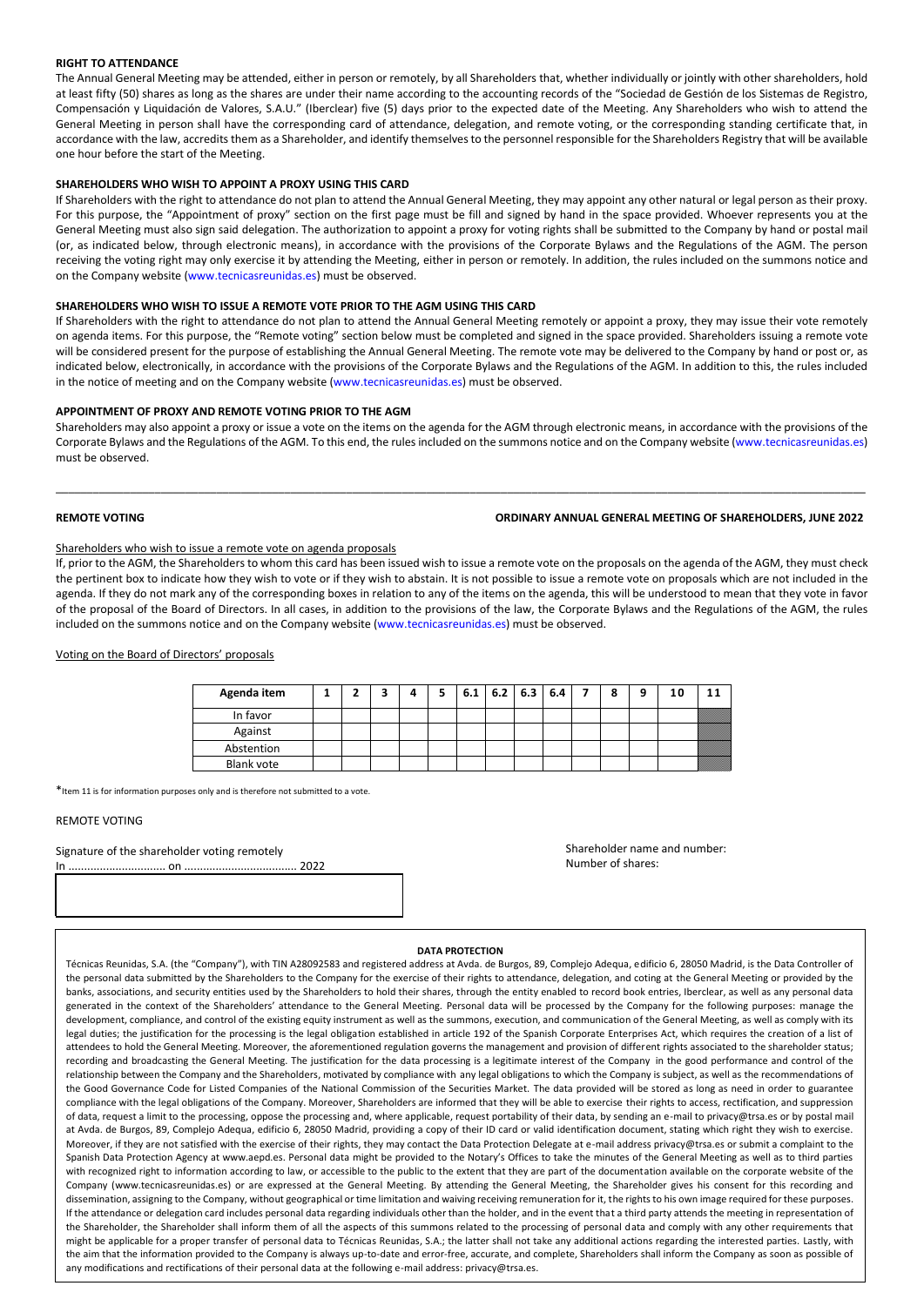# **RIGHT TO ATTENDANCE**

The Annual General Meeting may be attended, either in person or remotely, by all Shareholders that, whether individually or jointly with other shareholders, hold at least fifty (50) shares as long as the shares are under their name according to the accounting records of the "Sociedad de Gestión de los Sistemas de Registro, Compensación y Liquidación de Valores, S.A.U." (Iberclear) five (5) days prior to the expected date of the Meeting. Any Shareholders who wish to attend the General Meeting in person shall have the corresponding card of attendance, delegation, and remote voting, or the corresponding standing certificate that, in accordance with the law, accredits them as a Shareholder, and identify themselves to the personnel responsible for the Shareholders Registry that will be available one hour before the start of the Meeting.

# **SHAREHOLDERS WHO WISH TO APPOINT A PROXY USING THIS CARD**

If Shareholders with the right to attendance do not plan to attend the Annual General Meeting, they may appoint any other natural or legal person as their proxy. For this purpose, the "Appointment of proxy" section on the first page must be fill and signed by hand in the space provided. Whoever represents you at the General Meeting must also sign said delegation. The authorization to appoint a proxy for voting rights shall be submitted to the Company by hand or postal mail (or, as indicated below, through electronic means), in accordance with the provisions of the Corporate Bylaws and the Regulations of the AGM. The person receiving the voting right may only exercise it by attending the Meeting, either in person or remotely. In addition, the rules included on the summons notice and on the Company website [\(www.tecnicasreunidas.es\)](http://www.tecnicasreunidas.es/) must be observed.

# **SHAREHOLDERS WHO WISH TO ISSUE A REMOTE VOTE PRIOR TO THE AGM USING THIS CARD**

If Shareholders with the right to attendance do not plan to attend the Annual General Meeting remotely or appoint a proxy, they may issue their vote remotely on agenda items. For this purpose, the "Remote voting" section below must be completed and signed in the space provided. Shareholders issuing a remote vote will be considered present for the purpose of establishing the Annual General Meeting. The remote vote may be delivered to the Company by hand or post or, as indicated below, electronically, in accordance with the provisions of the Corporate Bylaws and the Regulations of the AGM. In addition to this, the rules included in the notice of meeting and on the Company website [\(www.tecnicasreunidas.es\)](http://www.tecnicasreunidas.es/) must be observed.

#### **APPOINTMENT OF PROXY AND REMOTE VOTING PRIOR TO THE AGM**

Shareholders may also appoint a proxy or issue a vote on the items on the agenda for the AGM through electronic means, in accordance with the provisions of the Corporate Bylaws and the Regulations of the AGM. To this end, the rules included on the summons notice and on the Company website [\(www.tecnicasreunidas.es\)](http://www.tecnicasreunidas.es/) must be observed.

\_\_\_\_\_\_\_\_\_\_\_\_\_\_\_\_\_\_\_\_\_\_\_\_\_\_\_\_\_\_\_\_\_\_\_\_\_\_\_\_\_\_\_\_\_\_\_\_\_\_\_\_\_\_\_\_\_\_\_\_\_\_\_\_\_\_\_\_\_\_\_\_\_\_\_\_\_\_\_\_\_\_\_\_\_\_\_\_\_\_\_\_\_\_\_\_\_\_\_\_\_\_\_\_\_\_\_\_\_\_\_\_\_\_\_\_\_\_\_\_\_\_\_\_\_\_\_\_\_\_\_

# **REMOTE VOTING ORDINARY ANNUAL GENERAL MEETING OF SHAREHOLDERS, JUNE 2022**

# Shareholders who wish to issue a remote vote on agenda proposals

If, prior to the AGM, the Shareholders to whom this card has been issued wish to issue a remote vote on the proposals on the agenda of the AGM, they must check the pertinent box to indicate how they wish to vote or if they wish to abstain. It is not possible to issue a remote vote on proposals which are not included in the agenda. If they do not mark any of the corresponding boxes in relation to any of the items on the agenda, this will be understood to mean that they vote in favor of the proposal of the Board of Directors. In all cases, in addition to the provisions of the law, the Corporate Bylaws and the Regulations of the AGM, the rules included on the summons notice and on the Company website [\(www.tecnicasreunidas.es\)](http://www.tecnicasreunidas.es/) must be observed.

# Voting on the Board of Directors' proposals

| Agenda item |  |  |  | $6.1$   6.2   6.3   6.4 |  | 8 | o | 10 |  |
|-------------|--|--|--|-------------------------|--|---|---|----|--|
| In favor    |  |  |  |                         |  |   |   |    |  |
| Against     |  |  |  |                         |  |   |   |    |  |
| Abstention  |  |  |  |                         |  |   |   |    |  |
| Blank vote  |  |  |  |                         |  |   |   |    |  |

\*Item 11 is for information purposes only and is therefore not submitted to a vote.

# REMOTE VOTING

# Signature of the shareholder voting remotely

In ............................... on .................................... 2022

Shareholder name and number: Number of shares:

#### **DATA PROTECTION**

Técnicas Reunidas, S.A. (the "Company"), with TIN A28092583 and registered address at Avda. de Burgos, 89, Complejo Adequa, edificio 6, 28050 Madrid, is the Data Controller of the personal data submitted by the Shareholders to the Company for the exercise of their rights to attendance, delegation, and coting at the General Meeting or provided by the banks, associations, and security entities used by the Shareholders to hold their shares, through the entity enabled to record book entries, Iberclear, as well as any personal data generated in the context of the Shareholders' attendance to the General Meeting. Personal data will be processed by the Company for the following purposes: manage the development, compliance, and control of the existing equity instrument as well as the summons, execution, and communication of the General Meeting, as well as comply with its legal duties; the justification for the processing is the legal obligation established in article 192 of the Spanish Corporate Enterprises Act, which requires the creation of a list of attendees to hold the General Meeting. Moreover, the aforementioned regulation governs the management and provision of different rights associated to the shareholder status; recording and broadcasting the General Meeting. The justification for the data processing is a legitimate interest of the Company in the good performance and control of the relationship between the Company and the Shareholders, motivated by compliance with any legal obligations to which the Company is subject, as well as the recommendations of the Good Governance Code for Listed Companies of the National Commission of the Securities Market. The data provided will be stored as long as need in order to guarantee compliance with the legal obligations of the Company. Moreover, Shareholders are informed that they will be able to exercise their rights to access, rectification, and suppression of data, request a limit to the processing, oppose the processing and, where applicable, request portability of their data, by sending an e-mail t[o privacy@trsa.es](mailto:privacy@trsa.es) or by postal mail at Avda. de Burgos, 89, Complejo Adequa, edificio 6, 28050 Madrid, providing a copy of their ID card or valid identification document, stating which right they wish to exercise. Moreover, if they are not satisfied with the exercise of their rights, they may contact the Data Protection Delegate at e-mail address privacy@trsa.es or submit a complaint to the Spanish Data Protection Agency at [www.aepd.es.](http://www.aepd.es/) Personal data might be provided to the Notary's Offices to take the minutes of the General Meeting as well as to third parties with recognized right to information according to law, or accessible to the public to the extent that they are part of the documentation available on the corporate website of the Company [\(www.tecnicasreunidas.es\)](http://www.tecnicasreunidas.es/) or are expressed at the General Meeting. By attending the General Meeting, the Shareholder gives his consent for this recording and dissemination, assigning to the Company, without geographical or time limitation and waiving receiving remuneration for it, the rights to his own image required for these purposes. If the attendance or delegation card includes personal data regarding individuals other than the holder, and in the event that a third party attends the meeting in representation of the Shareholder, the Shareholder shall inform them of all the aspects of this summons related to the processing of personal data and comply with any other requirements that might be applicable for a proper transfer of personal data to Técnicas Reunidas, S.A.; the latter shall not take any additional actions regarding the interested parties. Lastly, with the aim that the information provided to the Company is always up-to-date and error-free, accurate, and complete, Shareholders shall inform the Company as soon as possible of any modifications and rectifications of their personal data at the following e-mail address[: privacy@trsa.es.](mailto:privacy@trsa.es)